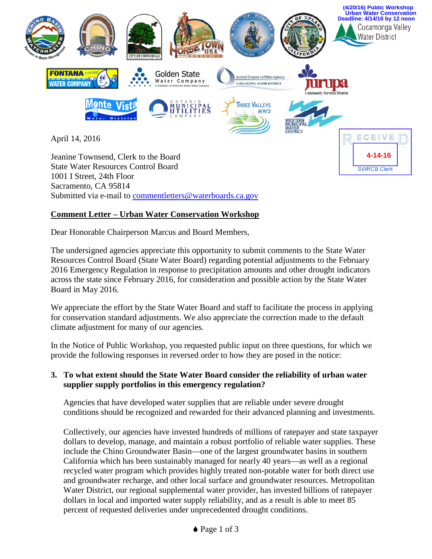

Sacramento, CA 95814 Submitted via e-mail to [commentletters@waterboards.ca.gov](mailto:commentletters@waterboards.ca.gov)

## **Comment Letter – Urban Water Conservation Workshop**

Dear Honorable Chairperson Marcus and Board Members,

The undersigned agencies appreciate this opportunity to submit comments to the State Water Resources Control Board (State Water Board) regarding potential adjustments to the February 2016 Emergency Regulation in response to precipitation amounts and other drought indicators across the state since February 2016, for consideration and possible action by the State Water Board in May 2016.

We appreciate the effort by the State Water Board and staff to facilitate the process in applying for conservation standard adjustments. We also appreciate the correction made to the default climate adjustment for many of our agencies.

In the Notice of Public Workshop, you requested public input on three questions, for which we provide the following responses in reversed order to how they are posed in the notice:

## **3. To what extent should the State Water Board consider the reliability of urban water supplier supply portfolios in this emergency regulation?**

Agencies that have developed water supplies that are reliable under severe drought conditions should be recognized and rewarded for their advanced planning and investments.

Collectively, our agencies have invested hundreds of millions of ratepayer and state taxpayer dollars to develop, manage, and maintain a robust portfolio of reliable water supplies. These include the Chino Groundwater Basin—one of the largest groundwater basins in southern California which has been sustainably managed for nearly 40 years—as well as a regional recycled water program which provides highly treated non-potable water for both direct use and groundwater recharge, and other local surface and groundwater resources. Metropolitan Water District, our regional supplemental water provider, has invested billions of ratepayer dollars in local and imported water supply reliability, and as a result is able to meet 85 percent of requested deliveries under unprecedented drought conditions.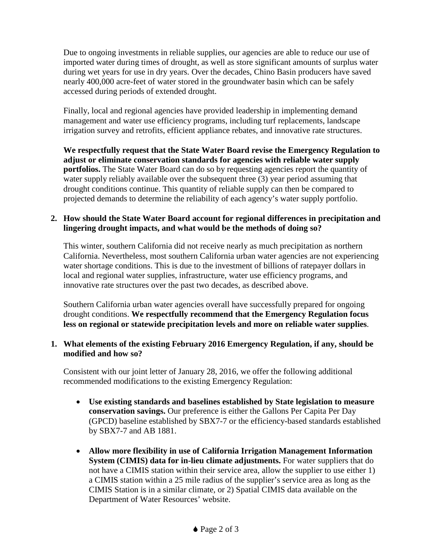Due to ongoing investments in reliable supplies, our agencies are able to reduce our use of imported water during times of drought, as well as store significant amounts of surplus water during wet years for use in dry years. Over the decades, Chino Basin producers have saved nearly 400,000 acre-feet of water stored in the groundwater basin which can be safely accessed during periods of extended drought.

Finally, local and regional agencies have provided leadership in implementing demand management and water use efficiency programs, including turf replacements, landscape irrigation survey and retrofits, efficient appliance rebates, and innovative rate structures.

**We respectfully request that the State Water Board revise the Emergency Regulation to adjust or eliminate conservation standards for agencies with reliable water supply portfolios.** The State Water Board can do so by requesting agencies report the quantity of water supply reliably available over the subsequent three (3) year period assuming that drought conditions continue. This quantity of reliable supply can then be compared to projected demands to determine the reliability of each agency's water supply portfolio.

## **2. How should the State Water Board account for regional differences in precipitation and lingering drought impacts, and what would be the methods of doing so?**

This winter, southern California did not receive nearly as much precipitation as northern California. Nevertheless, most southern California urban water agencies are not experiencing water shortage conditions. This is due to the investment of billions of ratepayer dollars in local and regional water supplies, infrastructure, water use efficiency programs, and innovative rate structures over the past two decades, as described above.

Southern California urban water agencies overall have successfully prepared for ongoing drought conditions. **We respectfully recommend that the Emergency Regulation focus less on regional or statewide precipitation levels and more on reliable water supplies**.

## **1. What elements of the existing February 2016 Emergency Regulation, if any, should be modified and how so?**

Consistent with our joint letter of January 28, 2016, we offer the following additional recommended modifications to the existing Emergency Regulation:

- **Use existing standards and baselines established by State legislation to measure conservation savings.** Our preference is either the Gallons Per Capita Per Day (GPCD) baseline established by SBX7-7 or the efficiency-based standards established by SBX7-7 and AB 1881.
- **Allow more flexibility in use of California Irrigation Management Information System (CIMIS) data for in-lieu climate adjustments.** For water suppliers that do not have a CIMIS station within their service area, allow the supplier to use either 1) a CIMIS station within a 25 mile radius of the supplier's service area as long as the CIMIS Station is in a similar climate, or 2) Spatial CIMIS data available on the Department of Water Resources' website.